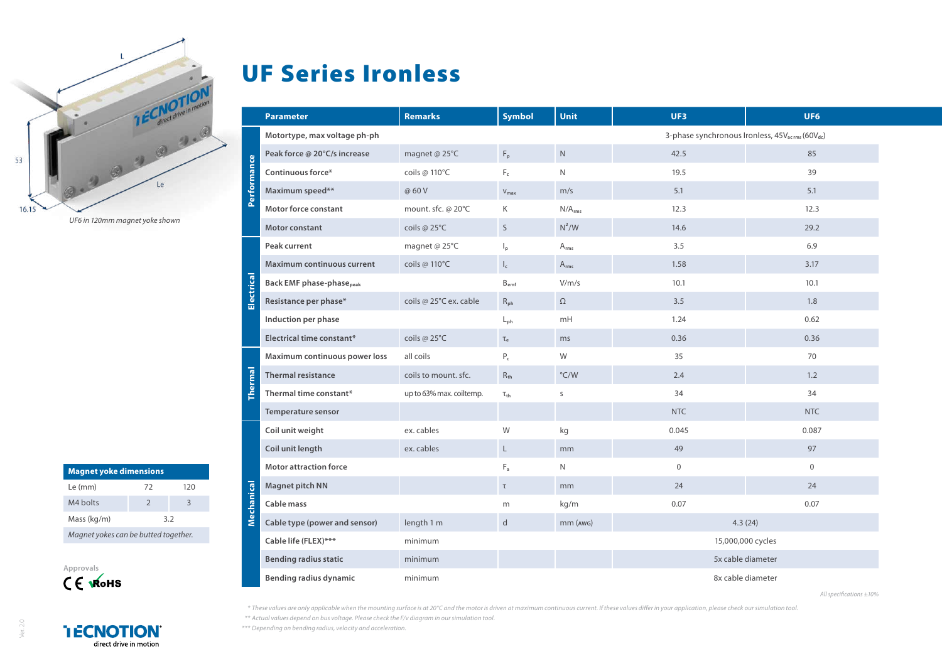

**Magnet yoke dimensions** Le (mm) 72 120 M4 bolts 2 3  $Mass (ka/m)$  3.2 *Magnet yokes can be butted together.*



## UF Series Ironless

| <b>Parameter</b>                    | <b>Remarks</b>           | <b>Symbol</b>             | <b>Unit</b>        | UF3                                                                     | UF6         |  |
|-------------------------------------|--------------------------|---------------------------|--------------------|-------------------------------------------------------------------------|-------------|--|
| Motortype, max voltage ph-ph        |                          |                           |                    | 3-phase synchronous Ironless, 45V <sub>acrms</sub> (60V <sub>dc</sub> ) |             |  |
| Peak force @ 20°C/s increase        | magnet @ 25°C            | $\mathsf{F}_{\mathsf{p}}$ | $\mathsf{N}$       | 42.5                                                                    | 85          |  |
| Performance<br>Continuous force*    | coils @ 110°C            | $F_c$                     | N                  | 19.5                                                                    | 39          |  |
| Maximum speed**                     | @ 60 V                   | $V_{\text{max}}$          | m/s                | 5.1                                                                     | 5.1         |  |
| <b>Motor force constant</b>         | mount. sfc. @ 20°C       | Κ                         | N/A <sub>rms</sub> | 12.3                                                                    | 12.3        |  |
| Motor constant                      | coils @ 25°C             | S                         | $N^2/W$            | 14.6                                                                    | 29.2        |  |
| Peak current                        | magnet @ 25°C            | $\mathsf{I}_{\mathsf{p}}$ | $A_{rms}$          | 3.5                                                                     | 6.9         |  |
| Maximum continuous current          | coils @ 110°C            | $\mathsf{I}_{\mathsf{c}}$ | $A_{rms}$          | 1.58                                                                    | 3.17        |  |
| <b>Back EMF phase-phase</b> peak    |                          | $B_{emf}$                 | V/m/s              | 10.1                                                                    | 10.1        |  |
| Electrical<br>Resistance per phase* | coils @ 25°C ex. cable   | $R_{ph}$                  | $\Omega$           | 3.5                                                                     | 1.8         |  |
| Induction per phase                 |                          | $L_{ph}$                  | mH                 | 1.24                                                                    | 0.62        |  |
| Electrical time constant*           | coils @ 25°C             | $\tau_{\rm e}$            | ms                 | 0.36                                                                    | 0.36        |  |
| Maximum continuous power loss       | all coils                | $P_c$                     | W                  | 35                                                                      | 70          |  |
| <b>Thermal resistance</b>           | coils to mount. sfc.     | $R_{th}$                  | $\degree$ C/W      | 2.4                                                                     | 1.2         |  |
| Thermal time constant*              | up to 63% max. coiltemp. | $\tau_{\text{th}}$        | S                  | 34                                                                      | 34          |  |
| Temperature sensor                  |                          |                           |                    | <b>NTC</b>                                                              | <b>NTC</b>  |  |
| Coil unit weight                    | ex. cables               | W                         | kg                 | 0.045                                                                   | 0.087       |  |
| Coil unit length                    | ex. cables               | L                         | mm                 | 49                                                                      | 97          |  |
| <b>Motor attraction force</b>       |                          | $F_a$                     | N                  | $\mathbf 0$                                                             | $\mathbf 0$ |  |
| Magnet pitch NN                     |                          | $\tau$                    | mm                 | 24                                                                      | 24          |  |
| Cable mass                          |                          | m                         | kg/m               | 0.07                                                                    | 0.07        |  |
| Cable type (power and sensor)       | length 1 m               | d                         | mm (AWG)           | 4.3(24)                                                                 |             |  |
| Cable life (FLEX)***                | minimum                  |                           |                    | 15,000,000 cycles                                                       |             |  |
| <b>Bending radius static</b>        | minimum                  |                           |                    | 5x cable diameter                                                       |             |  |
| <b>Bending radius dynamic</b>       | minimum                  |                           |                    | 8x cable diameter                                                       |             |  |

*All specifications ±10%*

*\* These values are only applicable when the mounting surface is at 20°C and the motor is driven at maximum continuous current. If these values differ in your application, please check our simulation tool. \*\* Actual values depend on bus voltage. Please check the F/v diagram in our simulation tool.*

*\*\*\* Depending on bending radius, velocity and acceleration.*

**TECNOTION** direct drive in motion